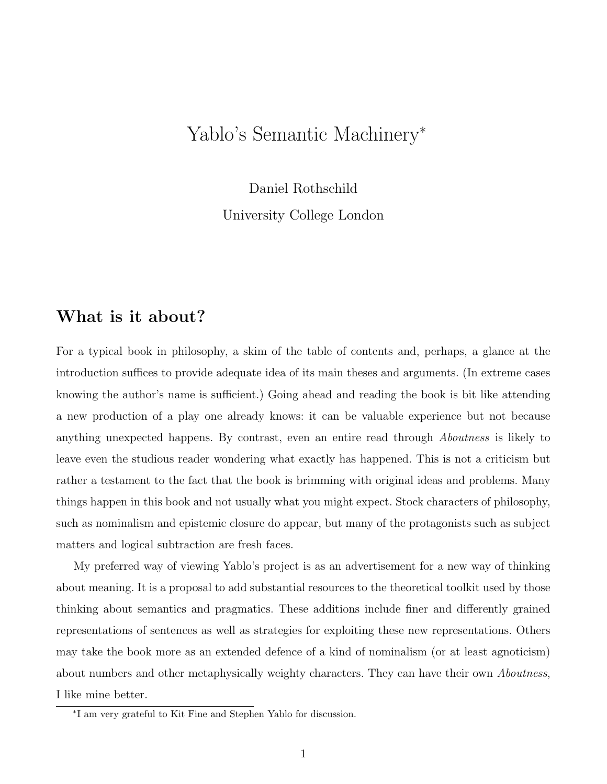# Yablo's Semantic Machinery<sup>∗</sup>

Daniel Rothschild

University College London

#### What is it about?

For a typical book in philosophy, a skim of the table of contents and, perhaps, a glance at the introduction suffices to provide adequate idea of its main theses and arguments. (In extreme cases knowing the author's name is sufficient.) Going ahead and reading the book is bit like attending a new production of a play one already knows: it can be valuable experience but not because anything unexpected happens. By contrast, even an entire read through Aboutness is likely to leave even the studious reader wondering what exactly has happened. This is not a criticism but rather a testament to the fact that the book is brimming with original ideas and problems. Many things happen in this book and not usually what you might expect. Stock characters of philosophy, such as nominalism and epistemic closure do appear, but many of the protagonists such as subject matters and logical subtraction are fresh faces.

My preferred way of viewing Yablo's project is as an advertisement for a new way of thinking about meaning. It is a proposal to add substantial resources to the theoretical toolkit used by those thinking about semantics and pragmatics. These additions include finer and differently grained representations of sentences as well as strategies for exploiting these new representations. Others may take the book more as an extended defence of a kind of nominalism (or at least agnoticism) about numbers and other metaphysically weighty characters. They can have their own Aboutness, I like mine better.

<sup>∗</sup> I am very grateful to Kit Fine and Stephen Yablo for discussion.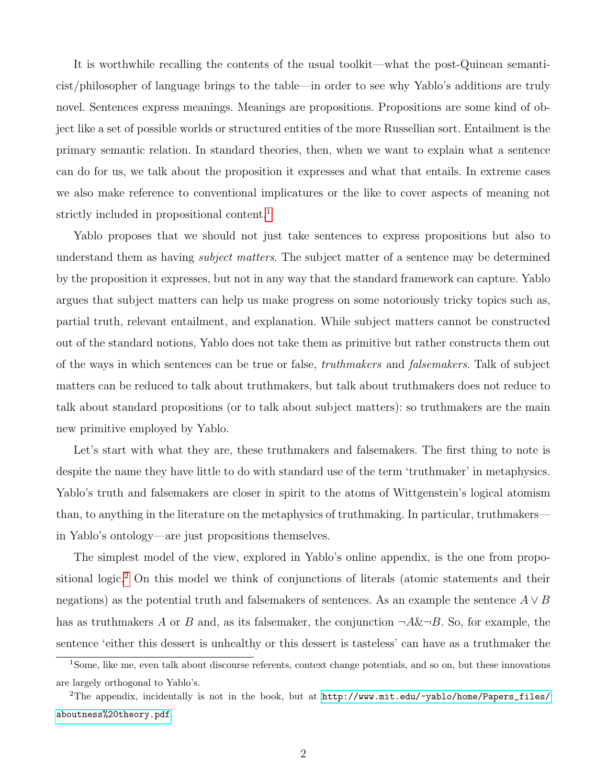It is worthwhile recalling the contents of the usual toolkit—what the post-Quinean semanticist/philosopher of language brings to the table—in order to see why Yablo's additions are truly novel. Sentences express meanings. Meanings are propositions. Propositions are some kind of object like a set of possible worlds or structured entities of the more Russellian sort. Entailment is the primary semantic relation. In standard theories, then, when we want to explain what a sentence can do for us, we talk about the proposition it expresses and what that entails. In extreme cases we also make reference to conventional implicatures or the like to cover aspects of meaning not strictly included in propositional content.<sup>[1](#page-1-0)</sup>

Yablo proposes that we should not just take sentences to express propositions but also to understand them as having *subject matters*. The subject matter of a sentence may be determined by the proposition it expresses, but not in any way that the standard framework can capture. Yablo argues that subject matters can help us make progress on some notoriously tricky topics such as, partial truth, relevant entailment, and explanation. While subject matters cannot be constructed out of the standard notions, Yablo does not take them as primitive but rather constructs them out of the ways in which sentences can be true or false, truthmakers and falsemakers. Talk of subject matters can be reduced to talk about truthmakers, but talk about truthmakers does not reduce to talk about standard propositions (or to talk about subject matters): so truthmakers are the main new primitive employed by Yablo.

Let's start with what they are, these truthmakers and falsemakers. The first thing to note is despite the name they have little to do with standard use of the term 'truthmaker' in metaphysics. Yablo's truth and falsemakers are closer in spirit to the atoms of Wittgenstein's logical atomism than, to anything in the literature on the metaphysics of truthmaking. In particular, truthmakers in Yablo's ontology—are just propositions themselves.

The simplest model of the view, explored in Yablo's online appendix, is the one from propo-sitional logic.<sup>[2](#page-1-1)</sup> On this model we think of conjunctions of literals (atomic statements and their negations) as the potential truth and falsemakers of sentences. As an example the sentence  $A \vee B$ has as truthmakers A or B and, as its falsemaker, the conjunction  $\neg A\&\neg B$ . So, for example, the sentence 'either this dessert is unhealthy or this dessert is tasteless' can have as a truthmaker the

<span id="page-1-0"></span><sup>1</sup>Some, like me, even talk about discourse referents, context change potentials, and so on, but these innovations are largely orthogonal to Yablo's.

<span id="page-1-1"></span><sup>2</sup>The appendix, incidentally is not in the book, but at [http://www.mit.edu/~yablo/home/Papers\\_files/](http://www.mit.edu/~yablo/home/Papers_files/aboutness%20theory.pdf) [aboutness%20theory.pdf](http://www.mit.edu/~yablo/home/Papers_files/aboutness%20theory.pdf).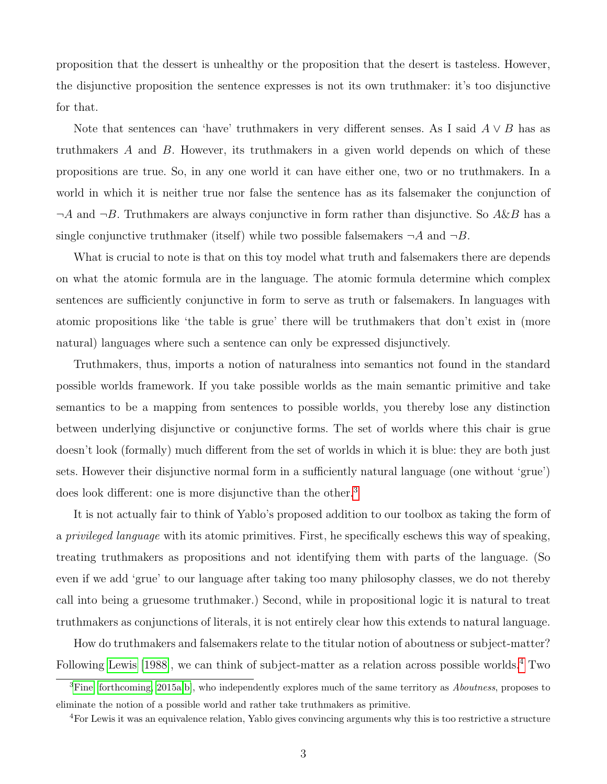proposition that the dessert is unhealthy or the proposition that the desert is tasteless. However, the disjunctive proposition the sentence expresses is not its own truthmaker: it's too disjunctive for that.

Note that sentences can 'have' truthmakers in very different senses. As I said  $A \vee B$  has as truthmakers A and B. However, its truthmakers in a given world depends on which of these propositions are true. So, in any one world it can have either one, two or no truthmakers. In a world in which it is neither true nor false the sentence has as its falsemaker the conjunction of  $\neg A$  and  $\neg B$ . Truthmakers are always conjunctive in form rather than disjunctive. So  $A\&B$  has a single conjunctive truthmaker (itself) while two possible falsemakers  $\neg A$  and  $\neg B$ .

What is crucial to note is that on this toy model what truth and falsemakers there are depends on what the atomic formula are in the language. The atomic formula determine which complex sentences are sufficiently conjunctive in form to serve as truth or falsemakers. In languages with atomic propositions like 'the table is grue' there will be truthmakers that don't exist in (more natural) languages where such a sentence can only be expressed disjunctively.

Truthmakers, thus, imports a notion of naturalness into semantics not found in the standard possible worlds framework. If you take possible worlds as the main semantic primitive and take semantics to be a mapping from sentences to possible worlds, you thereby lose any distinction between underlying disjunctive or conjunctive forms. The set of worlds where this chair is grue doesn't look (formally) much different from the set of worlds in which it is blue: they are both just sets. However their disjunctive normal form in a sufficiently natural language (one without 'grue') does look different: one is more disjunctive than the other.<sup>[3](#page-2-0)</sup>

It is not actually fair to think of Yablo's proposed addition to our toolbox as taking the form of a privileged language with its atomic primitives. First, he specifically eschews this way of speaking, treating truthmakers as propositions and not identifying them with parts of the language. (So even if we add 'grue' to our language after taking too many philosophy classes, we do not thereby call into being a gruesome truthmaker.) Second, while in propositional logic it is natural to treat truthmakers as conjunctions of literals, it is not entirely clear how this extends to natural language.

How do truthmakers and falsemakers relate to the titular notion of aboutness or subject-matter? Following [Lewis](#page-11-0) [\[1988\]](#page-11-0), we can think of subject-matter as a relation across possible worlds.<sup>[4](#page-2-1)</sup> Two

<span id="page-2-0"></span><sup>&</sup>lt;sup>3</sup>[Fine](#page-11-1) [\[forthcoming,](#page-11-1) [2015a,](#page-10-0)[b\]](#page-11-2), who independently explores much of the same territory as *Aboutness*, proposes to eliminate the notion of a possible world and rather take truthmakers as primitive.

<span id="page-2-1"></span><sup>4</sup>For Lewis it was an equivalence relation, Yablo gives convincing arguments why this is too restrictive a structure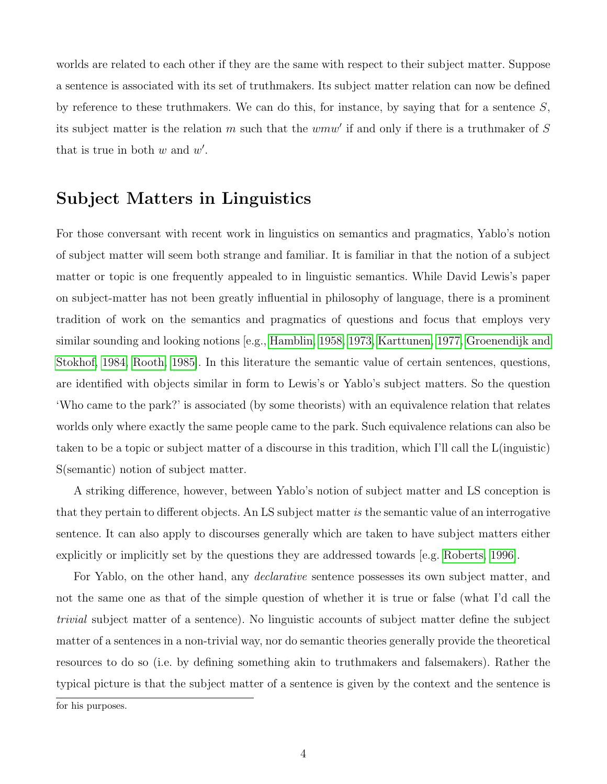worlds are related to each other if they are the same with respect to their subject matter. Suppose a sentence is associated with its set of truthmakers. Its subject matter relation can now be defined by reference to these truthmakers. We can do this, for instance, by saying that for a sentence  $S$ , its subject matter is the relation m such that the  $wmw'$  if and only if there is a truthmaker of S that is true in both  $w$  and  $w'$ .

### Subject Matters in Linguistics

For those conversant with recent work in linguistics on semantics and pragmatics, Yablo's notion of subject matter will seem both strange and familiar. It is familiar in that the notion of a subject matter or topic is one frequently appealed to in linguistic semantics. While David Lewis's paper on subject-matter has not been greatly influential in philosophy of language, there is a prominent tradition of work on the semantics and pragmatics of questions and focus that employs very similar sounding and looking notions [e.g., [Hamblin, 1958,](#page-11-3) [1973,](#page-11-4) [Karttunen, 1977,](#page-11-5) [Groenendijk and](#page-11-6) [Stokhof, 1984,](#page-11-6) [Rooth, 1985\]](#page-11-7). In this literature the semantic value of certain sentences, questions, are identified with objects similar in form to Lewis's or Yablo's subject matters. So the question 'Who came to the park?' is associated (by some theorists) with an equivalence relation that relates worlds only where exactly the same people came to the park. Such equivalence relations can also be taken to be a topic or subject matter of a discourse in this tradition, which I'll call the L(inguistic) S(semantic) notion of subject matter.

A striking difference, however, between Yablo's notion of subject matter and LS conception is that they pertain to different objects. An LS subject matter is the semantic value of an interrogative sentence. It can also apply to discourses generally which are taken to have subject matters either explicitly or implicitly set by the questions they are addressed towards [e.g. [Roberts, 1996\]](#page-11-8).

For Yablo, on the other hand, any *declarative* sentence possesses its own subject matter, and not the same one as that of the simple question of whether it is true or false (what I'd call the trivial subject matter of a sentence). No linguistic accounts of subject matter define the subject matter of a sentences in a non-trivial way, nor do semantic theories generally provide the theoretical resources to do so (i.e. by defining something akin to truthmakers and falsemakers). Rather the typical picture is that the subject matter of a sentence is given by the context and the sentence is

for his purposes.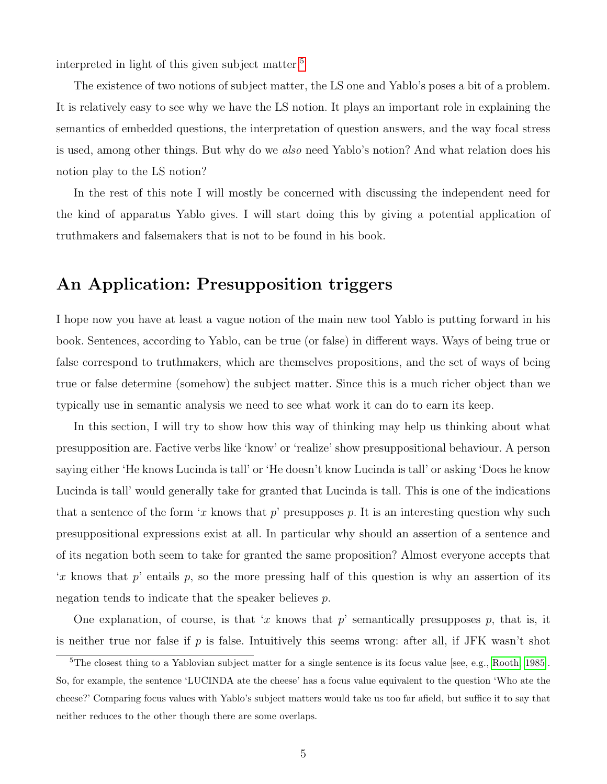interpreted in light of this given subject matter.<sup>[5](#page-4-0)</sup>

The existence of two notions of subject matter, the LS one and Yablo's poses a bit of a problem. It is relatively easy to see why we have the LS notion. It plays an important role in explaining the semantics of embedded questions, the interpretation of question answers, and the way focal stress is used, among other things. But why do we also need Yablo's notion? And what relation does his notion play to the LS notion?

In the rest of this note I will mostly be concerned with discussing the independent need for the kind of apparatus Yablo gives. I will start doing this by giving a potential application of truthmakers and falsemakers that is not to be found in his book.

#### An Application: Presupposition triggers

I hope now you have at least a vague notion of the main new tool Yablo is putting forward in his book. Sentences, according to Yablo, can be true (or false) in different ways. Ways of being true or false correspond to truthmakers, which are themselves propositions, and the set of ways of being true or false determine (somehow) the subject matter. Since this is a much richer object than we typically use in semantic analysis we need to see what work it can do to earn its keep.

In this section, I will try to show how this way of thinking may help us thinking about what presupposition are. Factive verbs like 'know' or 'realize' show presuppositional behaviour. A person saying either 'He knows Lucinda is tall' or 'He doesn't know Lucinda is tall' or asking 'Does he know Lucinda is tall' would generally take for granted that Lucinda is tall. This is one of the indications that a sentence of the form 'x knows that p' presupposes p. It is an interesting question why such presuppositional expressions exist at all. In particular why should an assertion of a sentence and of its negation both seem to take for granted the same proposition? Almost everyone accepts that  $x$  knows that p' entails p, so the more pressing half of this question is why an assertion of its negation tends to indicate that the speaker believes p.

One explanation, of course, is that 'x knows that  $p'$  semantically presupposes p, that is, it is neither true nor false if  $p$  is false. Intuitively this seems wrong: after all, if JFK wasn't shot

<span id="page-4-0"></span><sup>5</sup>The closest thing to a Yablovian subject matter for a single sentence is its focus value [see, e.g., [Rooth, 1985\]](#page-11-7). So, for example, the sentence 'LUCINDA ate the cheese' has a focus value equivalent to the question 'Who ate the cheese?' Comparing focus values with Yablo's subject matters would take us too far afield, but suffice it to say that neither reduces to the other though there are some overlaps.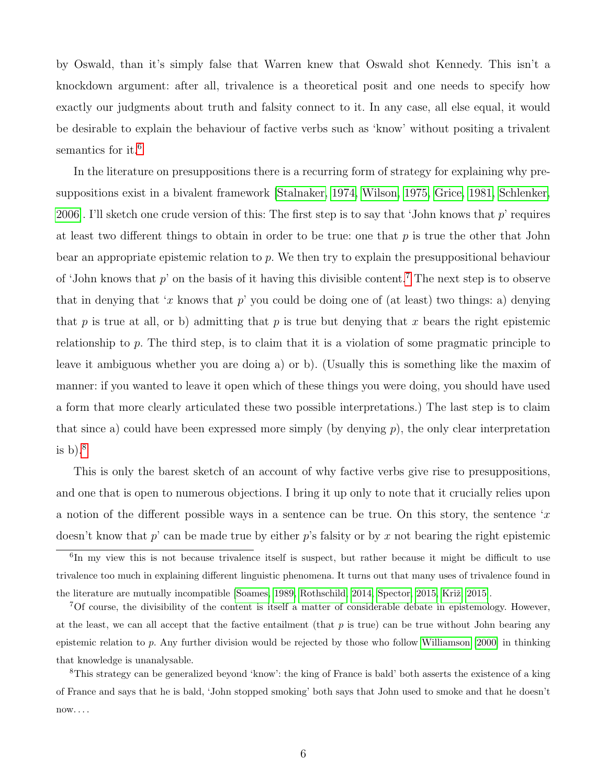by Oswald, than it's simply false that Warren knew that Oswald shot Kennedy. This isn't a knockdown argument: after all, trivalence is a theoretical posit and one needs to specify how exactly our judgments about truth and falsity connect to it. In any case, all else equal, it would be desirable to explain the behaviour of factive verbs such as 'know' without positing a trivalent semantics for it.<sup>[6](#page-5-0)</sup>

In the literature on presuppositions there is a recurring form of strategy for explaining why presuppositions exist in a bivalent framework [\[Stalnaker, 1974,](#page-12-0) [Wilson, 1975,](#page-12-1) [Grice, 1981,](#page-11-9) [Schlenker,](#page-11-10) 2006. I'll sketch one crude version of this: The first step is to say that 'John knows that  $p'$  requires at least two different things to obtain in order to be true: one that  $p$  is true the other that John bear an appropriate epistemic relation to p. We then try to explain the presuppositional behaviour of 'John knows that  $p$ ' on the basis of it having this divisible content.<sup>[7](#page-5-1)</sup> The next step is to observe that in denying that 'x knows that p' you could be doing one of (at least) two things: a) denying that p is true at all, or b) admitting that p is true but denying that x bears the right epistemic relationship to p. The third step, is to claim that it is a violation of some pragmatic principle to leave it ambiguous whether you are doing a) or b). (Usually this is something like the maxim of manner: if you wanted to leave it open which of these things you were doing, you should have used a form that more clearly articulated these two possible interpretations.) The last step is to claim that since a) could have been expressed more simply (by denying  $p$ ), the only clear interpretation is b). $8$ 

This is only the barest sketch of an account of why factive verbs give rise to presuppositions, and one that is open to numerous objections. I bring it up only to note that it crucially relies upon a notion of the different possible ways in a sentence can be true. On this story, the sentence 'x doesn't know that  $p'$  can be made true by either p's falsity or by x not bearing the right epistemic

<span id="page-5-0"></span><sup>&</sup>lt;sup>6</sup>In my view this is not because trivalence itself is suspect, but rather because it might be difficult to use trivalence too much in explaining different linguistic phenomena. It turns out that many uses of trivalence found in the literature are mutually incompatible [\[Soames, 1989,](#page-11-11) [Rothschild, 2014,](#page-11-12) [Spector, 2015,](#page-11-13) Križ, 2015].

<span id="page-5-1"></span><sup>7</sup>Of course, the divisibility of the content is itself a matter of considerable debate in epistemology. However, at the least, we can all accept that the factive entailment (that  $p$  is true) can be true without John bearing any epistemic relation to p. Any further division would be rejected by those who follow [Williamson](#page-12-2)  $[2000]$  in thinking that knowledge is unanalysable.

<span id="page-5-2"></span><sup>8</sup>This strategy can be generalized beyond 'know': the king of France is bald' both asserts the existence of a king of France and says that he is bald, 'John stopped smoking' both says that John used to smoke and that he doesn't now. . . .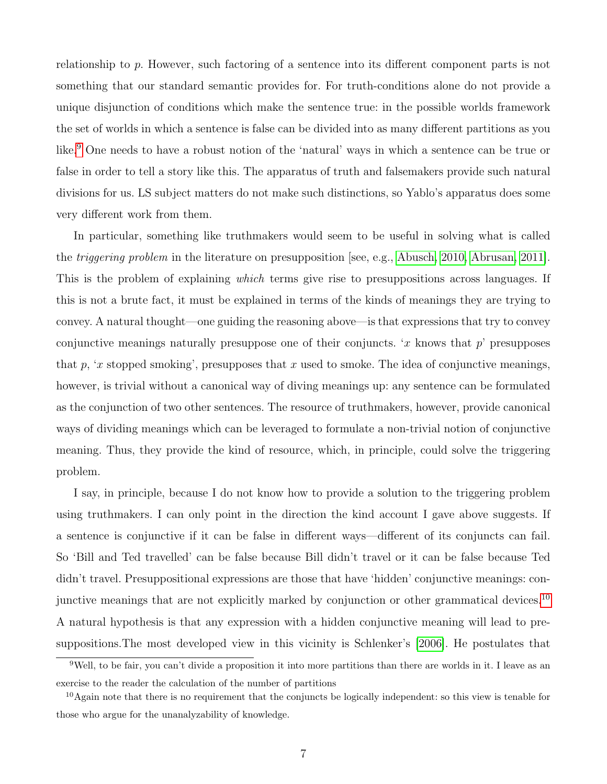relationship to p. However, such factoring of a sentence into its different component parts is not something that our standard semantic provides for. For truth-conditions alone do not provide a unique disjunction of conditions which make the sentence true: in the possible worlds framework the set of worlds in which a sentence is false can be divided into as many different partitions as you like.<sup>[9](#page-6-0)</sup> One needs to have a robust notion of the 'natural' ways in which a sentence can be true or false in order to tell a story like this. The apparatus of truth and falsemakers provide such natural divisions for us. LS subject matters do not make such distinctions, so Yablo's apparatus does some very different work from them.

In particular, something like truthmakers would seem to be useful in solving what is called the *triggering problem* in the literature on presupposition [see, e.g., [Abusch, 2010,](#page-10-1) [Abrusan, 2011\]](#page-10-2). This is the problem of explaining *which* terms give rise to presuppositions across languages. If this is not a brute fact, it must be explained in terms of the kinds of meanings they are trying to convey. A natural thought—one guiding the reasoning above—is that expressions that try to convey conjunctive meanings naturally presuppose one of their conjuncts. 'x knows that  $p'$  presupposes that p, 'x stopped smoking', presupposes that x used to smoke. The idea of conjunctive meanings, however, is trivial without a canonical way of diving meanings up: any sentence can be formulated as the conjunction of two other sentences. The resource of truthmakers, however, provide canonical ways of dividing meanings which can be leveraged to formulate a non-trivial notion of conjunctive meaning. Thus, they provide the kind of resource, which, in principle, could solve the triggering problem.

I say, in principle, because I do not know how to provide a solution to the triggering problem using truthmakers. I can only point in the direction the kind account I gave above suggests. If a sentence is conjunctive if it can be false in different ways—different of its conjuncts can fail. So 'Bill and Ted travelled' can be false because Bill didn't travel or it can be false because Ted didn't travel. Presuppositional expressions are those that have 'hidden' conjunctive meanings: con-junctive meanings that are not explicitly marked by conjunction or other grammatical devices.<sup>[10](#page-6-1)</sup> A natural hypothesis is that any expression with a hidden conjunctive meaning will lead to presuppositions.The most developed view in this vicinity is Schlenker's [\[2006\]](#page-11-10). He postulates that

<span id="page-6-0"></span><sup>9</sup>Well, to be fair, you can't divide a proposition it into more partitions than there are worlds in it. I leave as an exercise to the reader the calculation of the number of partitions

<span id="page-6-1"></span> $10$ Again note that there is no requirement that the conjuncts be logically independent: so this view is tenable for those who argue for the unanalyzability of knowledge.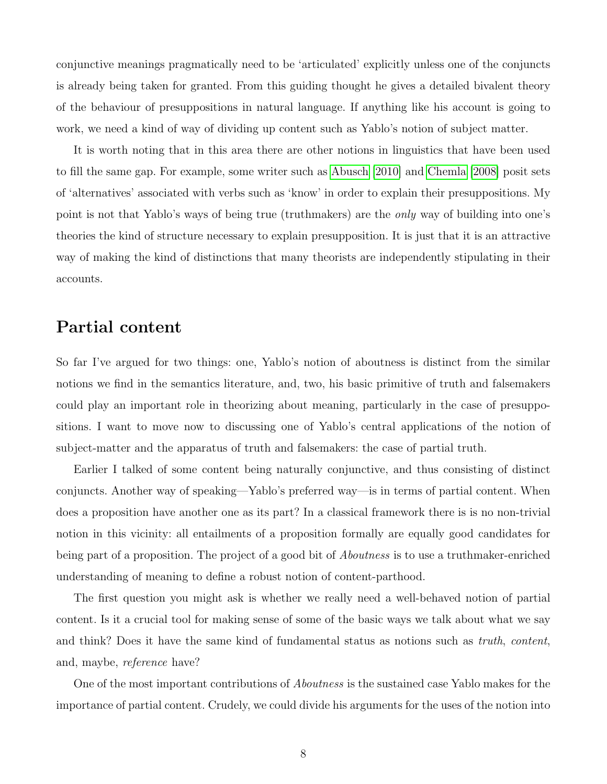conjunctive meanings pragmatically need to be 'articulated' explicitly unless one of the conjuncts is already being taken for granted. From this guiding thought he gives a detailed bivalent theory of the behaviour of presuppositions in natural language. If anything like his account is going to work, we need a kind of way of dividing up content such as Yablo's notion of subject matter.

It is worth noting that in this area there are other notions in linguistics that have been used to fill the same gap. For example, some writer such as [Abusch](#page-10-1) [\[2010\]](#page-10-1) and [Chemla](#page-10-3) [\[2008\]](#page-10-3) posit sets of 'alternatives' associated with verbs such as 'know' in order to explain their presuppositions. My point is not that Yablo's ways of being true (truthmakers) are the only way of building into one's theories the kind of structure necessary to explain presupposition. It is just that it is an attractive way of making the kind of distinctions that many theorists are independently stipulating in their accounts.

#### Partial content

So far I've argued for two things: one, Yablo's notion of aboutness is distinct from the similar notions we find in the semantics literature, and, two, his basic primitive of truth and falsemakers could play an important role in theorizing about meaning, particularly in the case of presuppositions. I want to move now to discussing one of Yablo's central applications of the notion of subject-matter and the apparatus of truth and falsemakers: the case of partial truth.

Earlier I talked of some content being naturally conjunctive, and thus consisting of distinct conjuncts. Another way of speaking—Yablo's preferred way—is in terms of partial content. When does a proposition have another one as its part? In a classical framework there is is no non-trivial notion in this vicinity: all entailments of a proposition formally are equally good candidates for being part of a proposition. The project of a good bit of *Aboutness* is to use a truthmaker-enriched understanding of meaning to define a robust notion of content-parthood.

The first question you might ask is whether we really need a well-behaved notion of partial content. Is it a crucial tool for making sense of some of the basic ways we talk about what we say and think? Does it have the same kind of fundamental status as notions such as truth, content, and, maybe, reference have?

One of the most important contributions of Aboutness is the sustained case Yablo makes for the importance of partial content. Crudely, we could divide his arguments for the uses of the notion into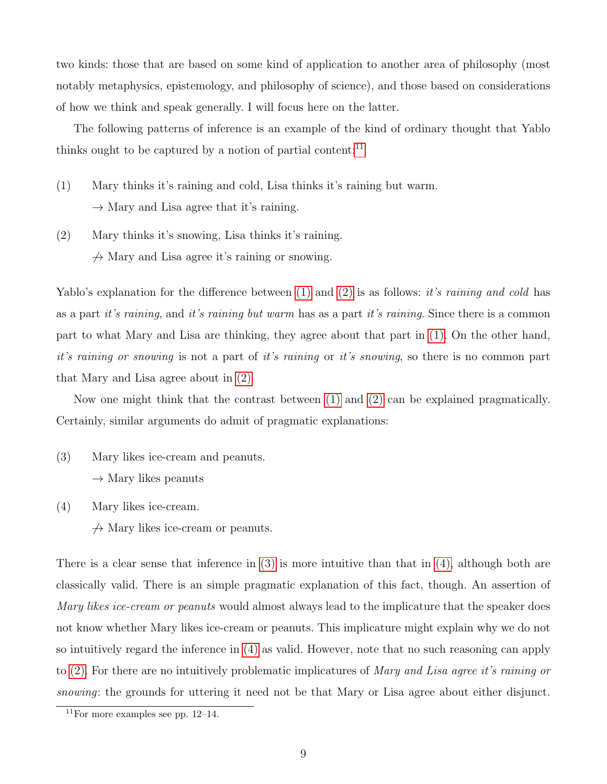two kinds: those that are based on some kind of application to another area of philosophy (most notably metaphysics, epistemology, and philosophy of science), and those based on considerations of how we think and speak generally. I will focus here on the latter.

The following patterns of inference is an example of the kind of ordinary thought that Yablo thinks ought to be captured by a notion of partial content: $^{11}$  $^{11}$  $^{11}$ 

- <span id="page-8-2"></span><span id="page-8-1"></span>(1) Mary thinks it's raining and cold, Lisa thinks it's raining but warm.  $\rightarrow$  Mary and Lisa agree that it's raining.
- (2) Mary thinks it's snowing, Lisa thinks it's raining.  $\rightarrow$  Mary and Lisa agree it's raining or snowing.

Yablo's explanation for the difference between  $(1)$  and  $(2)$  is as follows: *it's raining and cold* has as a part it's raining, and it's raining but warm has as a part it's raining. Since there is a common part to what Mary and Lisa are thinking, they agree about that part in [\(1\).](#page-8-1) On the other hand, it's raining or snowing is not a part of it's raining or it's snowing, so there is no common part that Mary and Lisa agree about in [\(2\)](#page-8-2)

Now one might think that the contrast between [\(1\)](#page-8-1) and [\(2\)](#page-8-2) can be explained pragmatically. Certainly, similar arguments do admit of pragmatic explanations:

- <span id="page-8-3"></span>(3) Mary likes ice-cream and peanuts.  $\rightarrow$  Mary likes peanuts
- <span id="page-8-4"></span>(4) Mary likes ice-cream.
	- $\rightarrow$  Mary likes ice-cream or peanuts.

There is a clear sense that inference in [\(3\)](#page-8-3) is more intuitive than that in [\(4\),](#page-8-4) although both are classically valid. There is an simple pragmatic explanation of this fact, though. An assertion of *Mary likes ice-cream or peanuts* would almost always lead to the implicature that the speaker does not know whether Mary likes ice-cream or peanuts. This implicature might explain why we do not so intuitively regard the inference in [\(4\)](#page-8-4) as valid. However, note that no such reasoning can apply to  $(2)$ . For there are no intuitively problematic implicatures of Mary and Lisa agree it's raining or snowing: the grounds for uttering it need not be that Mary or Lisa agree about either disjunct.

<span id="page-8-0"></span> $11$ For more examples see pp. 12–14.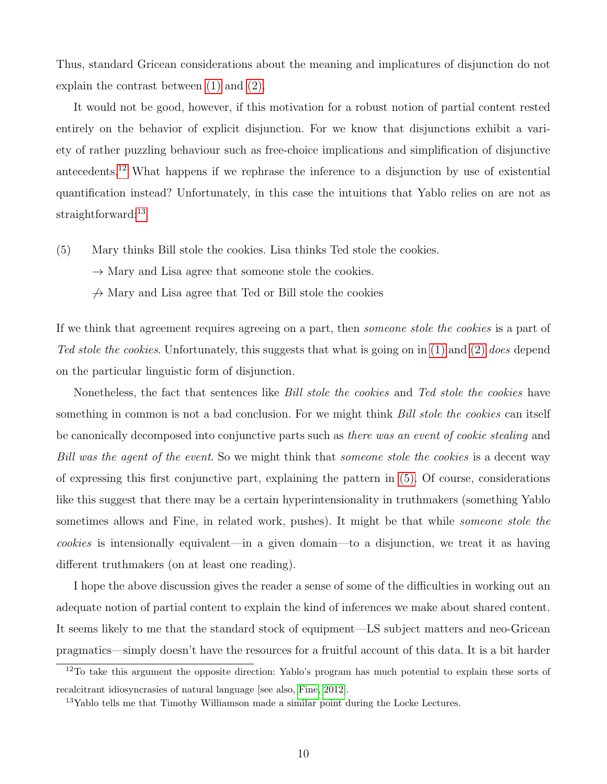Thus, standard Gricean considerations about the meaning and implicatures of disjunction do not explain the contrast between [\(1\)](#page-8-1) and [\(2\).](#page-8-2)

It would not be good, however, if this motivation for a robust notion of partial content rested entirely on the behavior of explicit disjunction. For we know that disjunctions exhibit a variety of rather puzzling behaviour such as free-choice implications and simplification of disjunctive antecedents.[12](#page-9-0) What happens if we rephrase the inference to a disjunction by use of existential quantification instead? Unfortunately, in this case the intuitions that Yablo relies on are not as straightforward:<sup>[13](#page-9-1)</sup>

- <span id="page-9-2"></span>(5) Mary thinks Bill stole the cookies. Lisa thinks Ted stole the cookies.
	- $\rightarrow$  Mary and Lisa agree that someone stole the cookies.
	- $\rightarrow$  Mary and Lisa agree that Ted or Bill stole the cookies

If we think that agreement requires agreeing on a part, then someone stole the cookies is a part of Ted stole the cookies. Unfortunately, this suggests that what is going on in [\(1\)](#page-8-1) and [\(2\)](#page-8-2) does depend on the particular linguistic form of disjunction.

Nonetheless, the fact that sentences like Bill stole the cookies and Ted stole the cookies have something in common is not a bad conclusion. For we might think *Bill stole the cookies* can itself be canonically decomposed into conjunctive parts such as there was an event of cookie stealing and Bill was the agent of the event. So we might think that someone stole the cookies is a decent way of expressing this first conjunctive part, explaining the pattern in [\(5\).](#page-9-2) Of course, considerations like this suggest that there may be a certain hyperintensionality in truthmakers (something Yablo sometimes allows and Fine, in related work, pushes). It might be that while *someone stole the* cookies is intensionally equivalent—in a given domain—to a disjunction, we treat it as having different truthmakers (on at least one reading).

I hope the above discussion gives the reader a sense of some of the difficulties in working out an adequate notion of partial content to explain the kind of inferences we make about shared content. It seems likely to me that the standard stock of equipment—LS subject matters and neo-Gricean pragmatics—simply doesn't have the resources for a fruitful account of this data. It is a bit harder

<span id="page-9-0"></span> $12$ To take this argument the opposite direction: Yablo's program has much potential to explain these sorts of recalcitrant idiosyncrasies of natural language [see also, [Fine, 2012\]](#page-10-4).

<span id="page-9-1"></span><sup>13</sup>Yablo tells me that Timothy Williamson made a similar point during the Locke Lectures.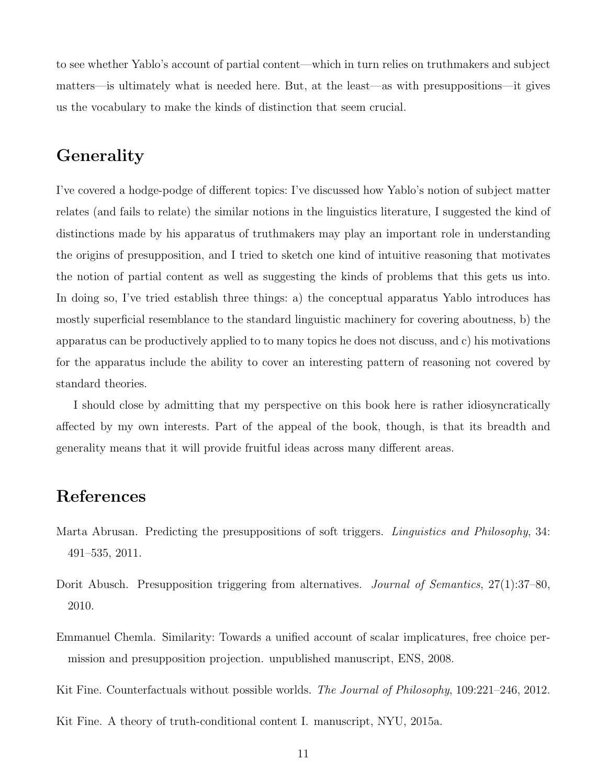to see whether Yablo's account of partial content—which in turn relies on truthmakers and subject matters—is ultimately what is needed here. But, at the least—as with presuppositions—it gives us the vocabulary to make the kinds of distinction that seem crucial.

## Generality

I've covered a hodge-podge of different topics: I've discussed how Yablo's notion of subject matter relates (and fails to relate) the similar notions in the linguistics literature, I suggested the kind of distinctions made by his apparatus of truthmakers may play an important role in understanding the origins of presupposition, and I tried to sketch one kind of intuitive reasoning that motivates the notion of partial content as well as suggesting the kinds of problems that this gets us into. In doing so, I've tried establish three things: a) the conceptual apparatus Yablo introduces has mostly superficial resemblance to the standard linguistic machinery for covering aboutness, b) the apparatus can be productively applied to to many topics he does not discuss, and c) his motivations for the apparatus include the ability to cover an interesting pattern of reasoning not covered by standard theories.

I should close by admitting that my perspective on this book here is rather idiosyncratically affected by my own interests. Part of the appeal of the book, though, is that its breadth and generality means that it will provide fruitful ideas across many different areas.

### References

- <span id="page-10-2"></span>Marta Abrusan. Predicting the presuppositions of soft triggers. *Linguistics and Philosophy*, 34: 491–535, 2011.
- <span id="page-10-1"></span>Dorit Abusch. Presupposition triggering from alternatives. Journal of Semantics, 27(1):37–80, 2010.
- <span id="page-10-3"></span>Emmanuel Chemla. Similarity: Towards a unified account of scalar implicatures, free choice permission and presupposition projection. unpublished manuscript, ENS, 2008.
- <span id="page-10-4"></span>Kit Fine. Counterfactuals without possible worlds. The Journal of Philosophy, 109:221–246, 2012.
- <span id="page-10-0"></span>Kit Fine. A theory of truth-conditional content I. manuscript, NYU, 2015a.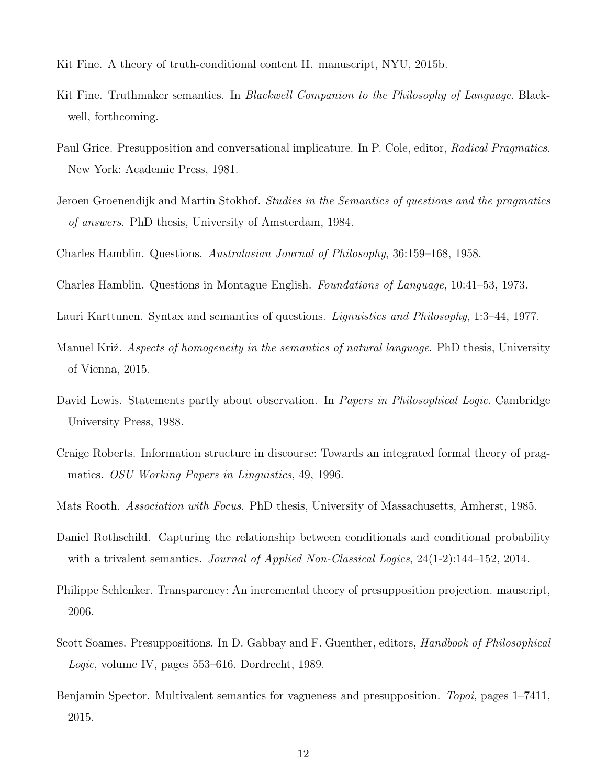<span id="page-11-2"></span>Kit Fine. A theory of truth-conditional content II. manuscript, NYU, 2015b.

- <span id="page-11-1"></span>Kit Fine. Truthmaker semantics. In *Blackwell Companion to the Philosophy of Language*. Blackwell, forthcoming.
- <span id="page-11-9"></span>Paul Grice. Presupposition and conversational implicature. In P. Cole, editor, Radical Pragmatics. New York: Academic Press, 1981.
- <span id="page-11-6"></span>Jeroen Groenendijk and Martin Stokhof. Studies in the Semantics of questions and the pragmatics of answers. PhD thesis, University of Amsterdam, 1984.

<span id="page-11-3"></span>Charles Hamblin. Questions. Australasian Journal of Philosophy, 36:159–168, 1958.

- <span id="page-11-4"></span>Charles Hamblin. Questions in Montague English. Foundations of Language, 10:41–53, 1973.
- <span id="page-11-5"></span>Lauri Karttunen. Syntax and semantics of questions. Lignuistics and Philosophy, 1:3–44, 1977.
- <span id="page-11-14"></span>Manuel Križ. Aspects of homogeneity in the semantics of natural language. PhD thesis, University of Vienna, 2015.
- <span id="page-11-0"></span>David Lewis. Statements partly about observation. In *Papers in Philosophical Logic*. Cambridge University Press, 1988.
- <span id="page-11-8"></span>Craige Roberts. Information structure in discourse: Towards an integrated formal theory of pragmatics. OSU Working Papers in Linguistics, 49, 1996.
- <span id="page-11-7"></span>Mats Rooth. *Association with Focus*. PhD thesis, University of Massachusetts, Amherst, 1985.
- <span id="page-11-12"></span>Daniel Rothschild. Capturing the relationship between conditionals and conditional probability with a trivalent semantics. *Journal of Applied Non-Classical Logics*, 24(1-2):144–152, 2014.
- <span id="page-11-10"></span>Philippe Schlenker. Transparency: An incremental theory of presupposition projection. mauscript, 2006.
- <span id="page-11-11"></span>Scott Soames. Presuppositions. In D. Gabbay and F. Guenther, editors, *Handbook of Philosophical* Logic, volume IV, pages 553–616. Dordrecht, 1989.
- <span id="page-11-13"></span>Benjamin Spector. Multivalent semantics for vagueness and presupposition. Topoi, pages 1–7411, 2015.